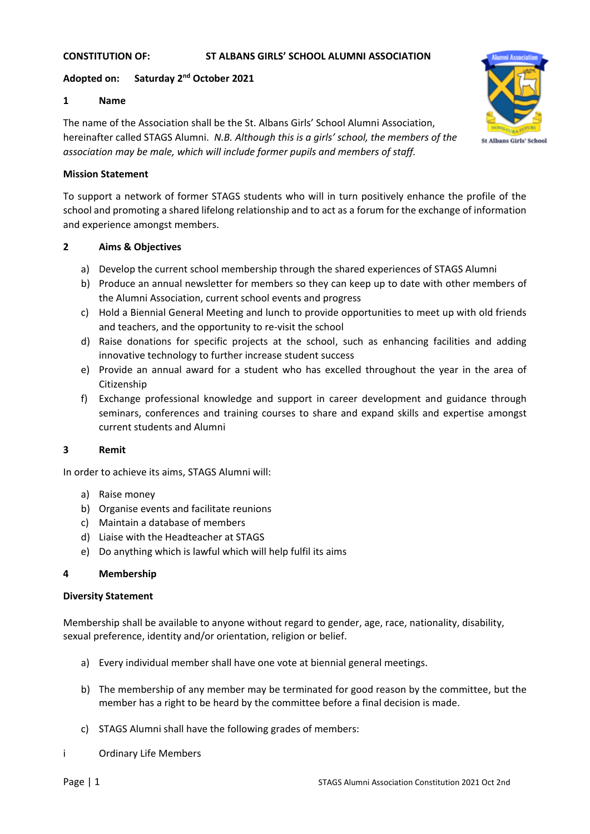### **CONSTITUTION OF: ST ALBANS GIRLS' SCHOOL ALUMNI ASSOCIATION**

## **Adopted on: Saturday 2nd October 2021**

### **1 Name**

The name of the Association shall be the St. Albans Girls' School Alumni Association, hereinafter called STAGS Alumni. *N.B. Although this is a girls' school, the members of the association may be male, which will include former pupils and members of staff.*



#### **Mission Statement**

To support a network of former STAGS students who will in turn positively enhance the profile of the school and promoting a shared lifelong relationship and to act as a forum for the exchange of information and experience amongst members.

### **2 Aims & Objectives**

- a) Develop the current school membership through the shared experiences of STAGS Alumni
- b) Produce an annual newsletter for members so they can keep up to date with other members of the Alumni Association, current school events and progress
- c) Hold a Biennial General Meeting and lunch to provide opportunities to meet up with old friends and teachers, and the opportunity to re-visit the school
- d) Raise donations for specific projects at the school, such as enhancing facilities and adding innovative technology to further increase student success
- e) Provide an annual award for a student who has excelled throughout the year in the area of Citizenship
- f) Exchange professional knowledge and support in career development and guidance through seminars, conferences and training courses to share and expand skills and expertise amongst current students and Alumni

## **3 Remit**

In order to achieve its aims, STAGS Alumni will:

- a) Raise money
- b) Organise events and facilitate reunions
- c) Maintain a database of members
- d) Liaise with the Headteacher at STAGS
- e) Do anything which is lawful which will help fulfil its aims

## **4 Membership**

#### **Diversity Statement**

Membership shall be available to anyone without regard to gender, age, race, nationality, disability, sexual preference, identity and/or orientation, religion or belief.

- a) Every individual member shall have one vote at biennial general meetings.
- b) The membership of any member may be terminated for good reason by the committee, but the member has a right to be heard by the committee before a final decision is made.
- c) STAGS Alumni shall have the following grades of members:
- i Ordinary Life Members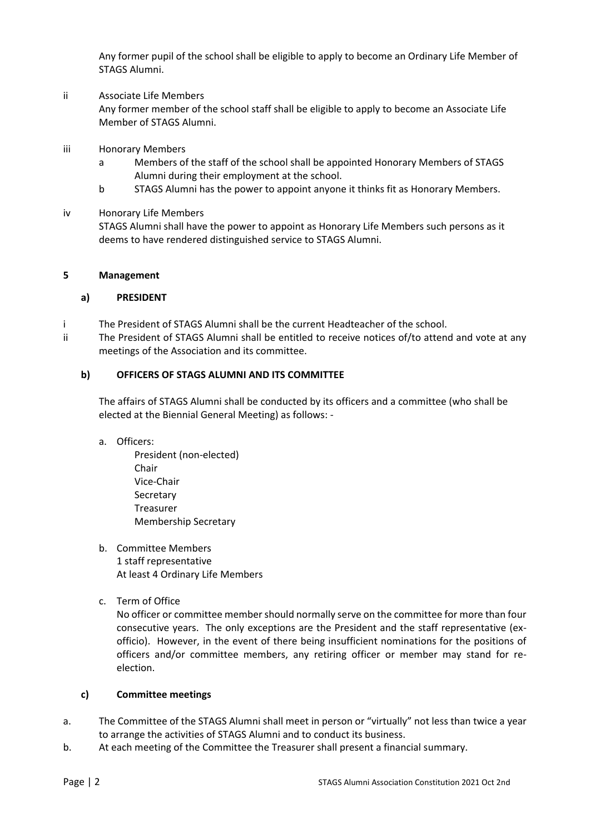Any former pupil of the school shall be eligible to apply to become an Ordinary Life Member of STAGS Alumni.

#### ii Associate Life Members

Any former member of the school staff shall be eligible to apply to become an Associate Life Member of STAGS Alumni.

- iii Honorary Members
	- a Members of the staff of the school shall be appointed Honorary Members of STAGS Alumni during their employment at the school.
	- b STAGS Alumni has the power to appoint anyone it thinks fit as Honorary Members.

### iv Honorary Life Members

STAGS Alumni shall have the power to appoint as Honorary Life Members such persons as it deems to have rendered distinguished service to STAGS Alumni.

### **5 Management**

### **a) PRESIDENT**

- i The President of STAGS Alumni shall be the current Headteacher of the school.
- ii The President of STAGS Alumni shall be entitled to receive notices of/to attend and vote at any meetings of the Association and its committee.

### **b) OFFICERS OF STAGS ALUMNI AND ITS COMMITTEE**

The affairs of STAGS Alumni shall be conducted by its officers and a committee (who shall be elected at the Biennial General Meeting) as follows: -

- a. Officers:
	- President (non-elected) **Chair** Vice-Chair Secretary Treasurer Membership Secretary
- b. Committee Members 1 staff representative At least 4 Ordinary Life Members
- c. Term of Office

No officer or committee member should normally serve on the committee for more than four consecutive years. The only exceptions are the President and the staff representative (exofficio). However, in the event of there being insufficient nominations for the positions of officers and/or committee members, any retiring officer or member may stand for reelection.

#### **c) Committee meetings**

- a. The Committee of the STAGS Alumni shall meet in person or "virtually" not less than twice a year to arrange the activities of STAGS Alumni and to conduct its business.
- b. At each meeting of the Committee the Treasurer shall present a financial summary.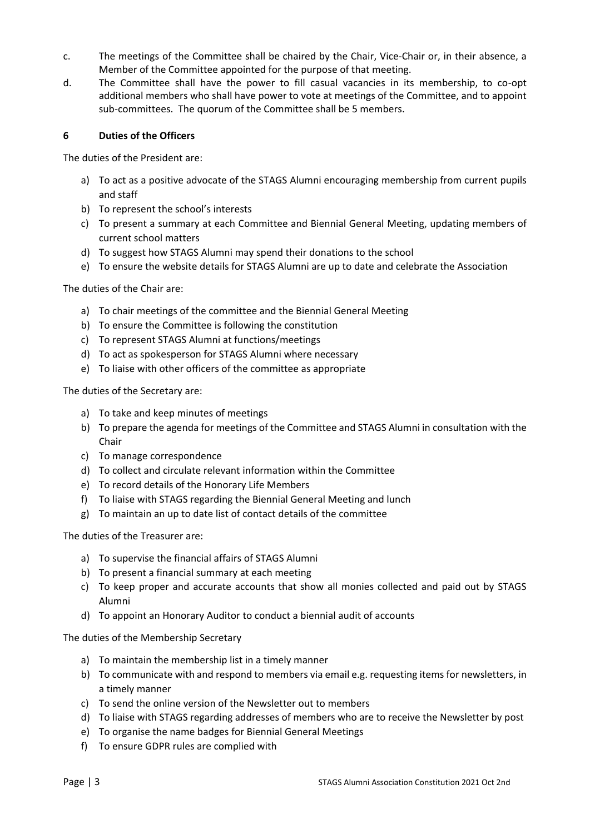- c. The meetings of the Committee shall be chaired by the Chair, Vice-Chair or, in their absence, a Member of the Committee appointed for the purpose of that meeting.
- d. The Committee shall have the power to fill casual vacancies in its membership, to co-opt additional members who shall have power to vote at meetings of the Committee, and to appoint sub-committees. The quorum of the Committee shall be 5 members.

### **6 Duties of the Officers**

The duties of the President are:

- a) To act as a positive advocate of the STAGS Alumni encouraging membership from current pupils and staff
- b) To represent the school's interests
- c) To present a summary at each Committee and Biennial General Meeting, updating members of current school matters
- d) To suggest how STAGS Alumni may spend their donations to the school
- e) To ensure the website details for STAGS Alumni are up to date and celebrate the Association

The duties of the Chair are:

- a) To chair meetings of the committee and the Biennial General Meeting
- b) To ensure the Committee is following the constitution
- c) To represent STAGS Alumni at functions/meetings
- d) To act as spokesperson for STAGS Alumni where necessary
- e) To liaise with other officers of the committee as appropriate

The duties of the Secretary are:

- a) To take and keep minutes of meetings
- b) To prepare the agenda for meetings of the Committee and STAGS Alumni in consultation with the Chair
- c) To manage correspondence
- d) To collect and circulate relevant information within the Committee
- e) To record details of the Honorary Life Members
- f) To liaise with STAGS regarding the Biennial General Meeting and lunch
- g) To maintain an up to date list of contact details of the committee

The duties of the Treasurer are:

- a) To supervise the financial affairs of STAGS Alumni
- b) To present a financial summary at each meeting
- c) To keep proper and accurate accounts that show all monies collected and paid out by STAGS Alumni
- d) To appoint an Honorary Auditor to conduct a biennial audit of accounts

The duties of the Membership Secretary

- a) To maintain the membership list in a timely manner
- b) To communicate with and respond to members via email e.g. requesting items for newsletters, in a timely manner
- c) To send the online version of the Newsletter out to members
- d) To liaise with STAGS regarding addresses of members who are to receive the Newsletter by post
- e) To organise the name badges for Biennial General Meetings
- f) To ensure GDPR rules are complied with